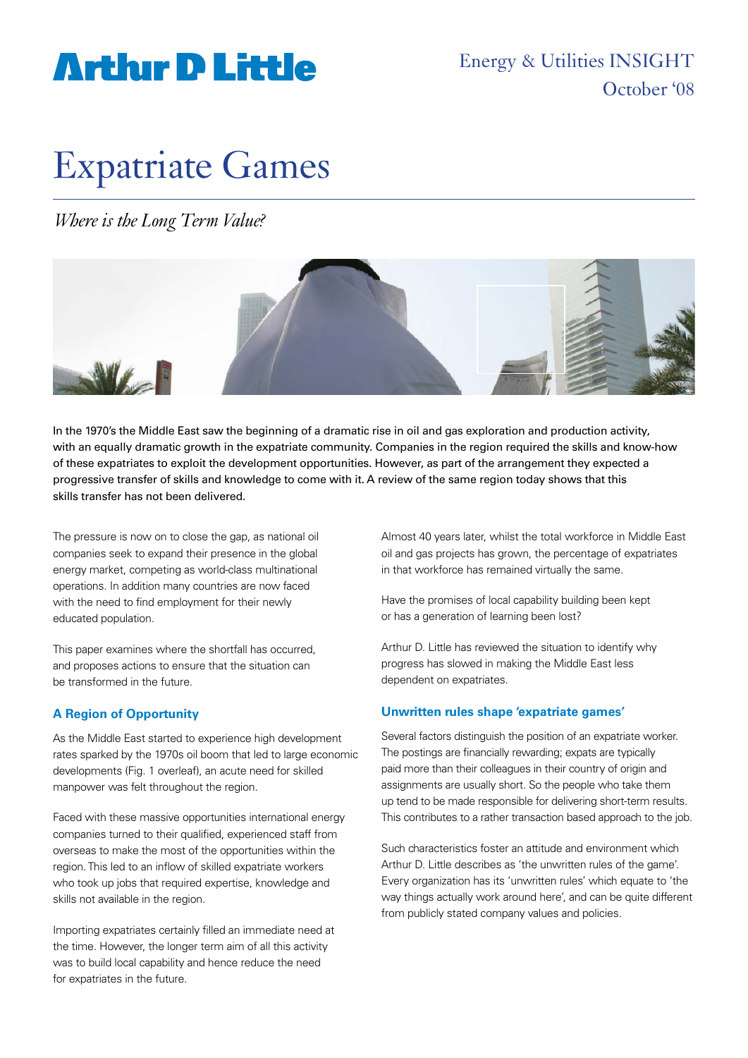## **Arthir D Little**

Energy & Utilities INSIGHT October '08

# Expatriate Games

*Where is the Long Term Value?*



In the 1970's the Middle East saw the beginning of a dramatic rise in oil and gas exploration and production activity, with an equally dramatic growth in the expatriate community. Companies in the region required the skills and know-how of these expatriates to exploit the development opportunities. However, as part of the arrangement they expected a progressive transfer of skills and knowledge to come with it. A review of the same region today shows that this skills transfer has not been delivered.

The pressure is now on to close the gap, as national oil companies seek to expand their presence in the global energy market, competing as world-class multinational operations. In addition many countries are now faced with the need to find employment for their newly educated population.

This paper examines where the shortfall has occurred, and proposes actions to ensure that the situation can be transformed in the future.

### **A Region of Opportunity**

As the Middle East started to experience high development rates sparked by the 1970s oil boom that led to large economic developments (Fig. 1 overleaf), an acute need for skilled manpower was felt throughout the region.

Faced with these massive opportunities international energy companies turned to their qualified, experienced staff from overseas to make the most of the opportunities within the region. This led to an inflow of skilled expatriate workers who took up jobs that required expertise, knowledge and skills not available in the region.

Importing expatriates certainly filled an immediate need at the time. However, the longer term aim of all this activity was to build local capability and hence reduce the need for expatriates in the future.

Almost 40 years later, whilst the total workforce in Middle East oil and gas projects has grown, the percentage of expatriates in that workforce has remained virtually the same.

Have the promises of local capability building been kept or has a generation of learning been lost?

Arthur D. Little has reviewed the situation to identify why progress has slowed in making the Middle East less dependent on expatriates.

### **Unwritten rules shape 'expatriate games'**

Several factors distinguish the position of an expatriate worker. The postings are financially rewarding; expats are typically paid more than their colleagues in their country of origin and assignments are usually short. So the people who take them up tend to be made responsible for delivering short-term results. This contributes to a rather transaction based approach to the job.

Such characteristics foster an attitude and environment which Arthur D. Little describes as 'the unwritten rules of the game'. Every organization has its 'unwritten rules' which equate to 'the way things actually work around here', and can be quite different from publicly stated company values and policies.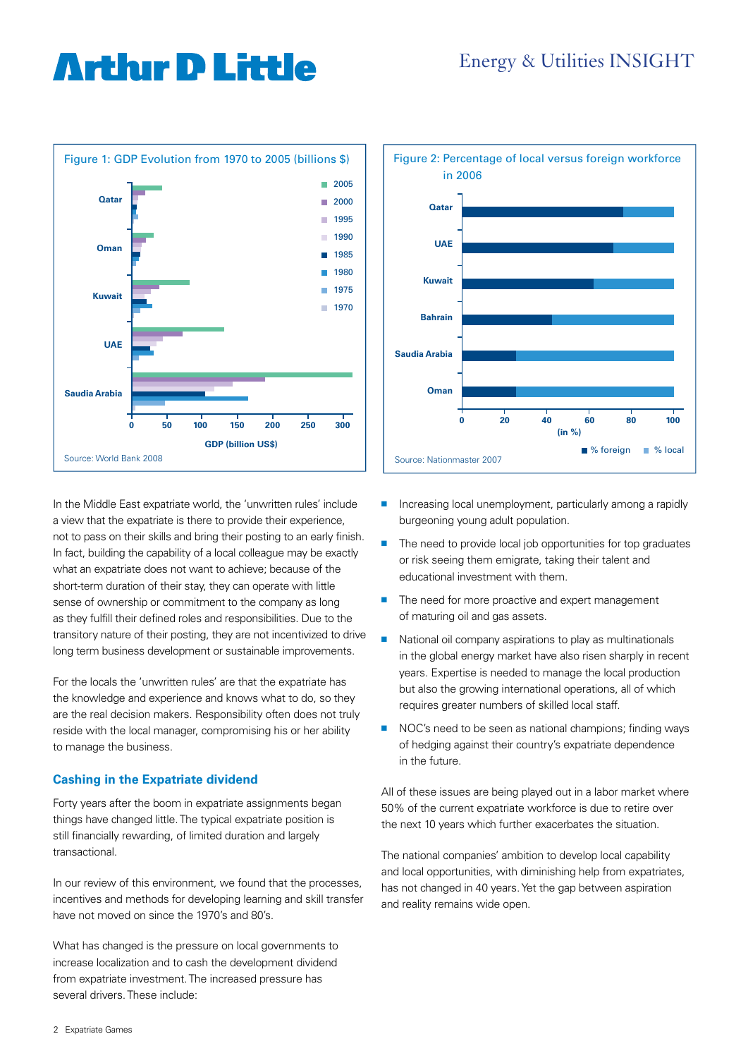### **Arthır D Little**



In the Middle East expatriate world, the 'unwritten rules' include a view that the expatriate is there to provide their experience, not to pass on their skills and bring their posting to an early finish. In fact, building the capability of a local colleague may be exactly what an expatriate does not want to achieve; because of the short-term duration of their stay, they can operate with little sense of ownership or commitment to the company as long as they fulfill their defined roles and responsibilities. Due to the transitory nature of their posting, they are not incentivized to drive long term business development or sustainable improvements.

For the locals the 'unwritten rules' are that the expatriate has the knowledge and experience and knows what to do, so they are the real decision makers. Responsibility often does not truly reside with the local manager, compromising his or her ability to manage the business.

### **Cashing in the Expatriate dividend**

Forty years after the boom in expatriate assignments began things have changed little. The typical expatriate position is still financially rewarding, of limited duration and largely transactional.

In our review of this environment, we found that the processes, incentives and methods for developing learning and skill transfer have not moved on since the 1970's and 80's.

What has changed is the pressure on local governments to increase localization and to cash the development dividend from expatriate investment. The increased pressure has several drivers. These include:



- $\blacksquare$  Increasing local unemployment, particularly among a rapidly burgeoning young adult population.
- $\blacksquare$  The need to provide local job opportunities for top graduates or risk seeing them emigrate, taking their talent and educational investment with them.
- $\blacksquare$  The need for more proactive and expert management of maturing oil and gas assets.
- $\blacksquare$  National oil company aspirations to play as multinationals in the global energy market have also risen sharply in recent years. Expertise is needed to manage the local production but also the growing international operations, all of which requires greater numbers of skilled local staff.
- NOC's need to be seen as national champions; finding ways of hedging against their country's expatriate dependence in the future.

All of these issues are being played out in a labor market where 50% of the current expatriate workforce is due to retire over the next 10 years which further exacerbates the situation.

The national companies' ambition to develop local capability and local opportunities, with diminishing help from expatriates, has not changed in 40 years. Yet the gap between aspiration and reality remains wide open.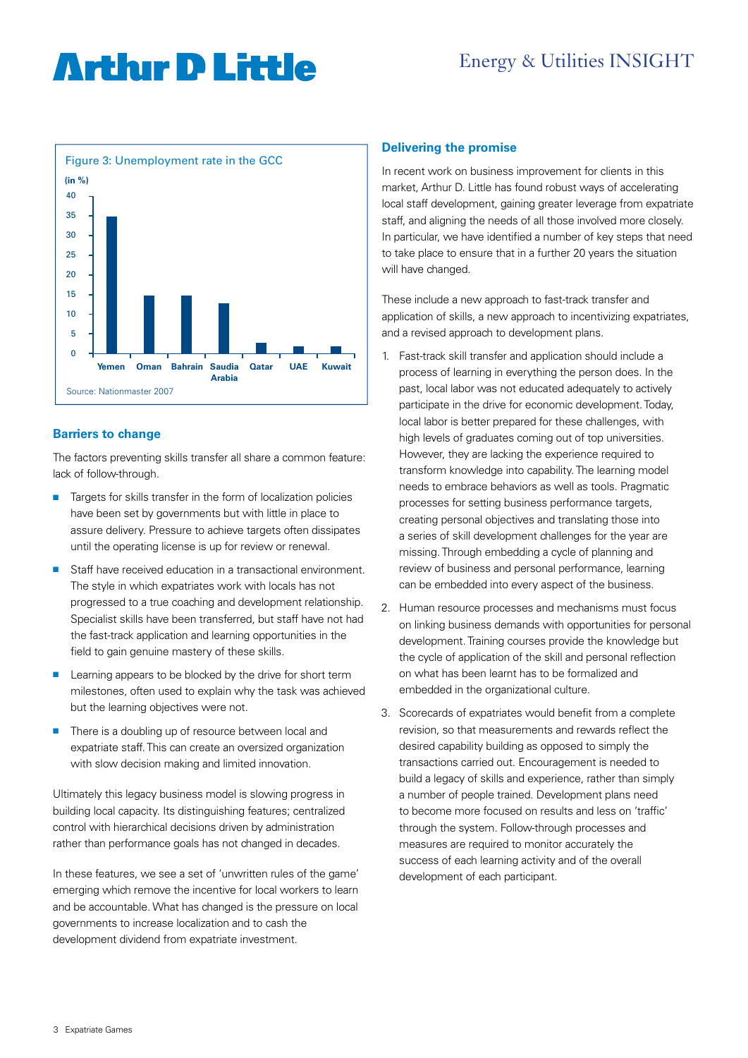### Energy & Utilities INSIGHT

### **Arthır D Little**



### **Barriers to change**

The factors preventing skills transfer all share a common feature: lack of follow-through.

- Targets for skills transfer in the form of localization policies have been set by governments but with little in place to assure delivery. Pressure to achieve targets often dissipates until the operating license is up for review or renewal.
- Staff have received education in a transactional environment. The style in which expatriates work with locals has not progressed to a true coaching and development relationship. Specialist skills have been transferred, but staff have not had the fast-track application and learning opportunities in the field to gain genuine mastery of these skills.
- **E** Learning appears to be blocked by the drive for short term milestones, often used to explain why the task was achieved but the learning objectives were not.
- $\blacksquare$  There is a doubling up of resource between local and expatriate staff. This can create an oversized organization with slow decision making and limited innovation.

Ultimately this legacy business model is slowing progress in building local capacity. Its distinguishing features; centralized control with hierarchical decisions driven by administration rather than performance goals has not changed in decades.

In these features, we see a set of 'unwritten rules of the game' emerging which remove the incentive for local workers to learn and be accountable. What has changed is the pressure on local governments to increase localization and to cash the development dividend from expatriate investment.

#### **Delivering the promise**

In recent work on business improvement for clients in this market, Arthur D. Little has found robust ways of accelerating local staff development, gaining greater leverage from expatriate staff, and aligning the needs of all those involved more closely. In particular, we have identified a number of key steps that need to take place to ensure that in a further 20 years the situation will have changed.

These include a new approach to fast-track transfer and application of skills, a new approach to incentivizing expatriates, and a revised approach to development plans.

- 1. Fast-track skill transfer and application should include a process of learning in everything the person does. In the past, local labor was not educated adequately to actively participate in the drive for economic development. Today, local labor is better prepared for these challenges, with high levels of graduates coming out of top universities. However, they are lacking the experience required to transform knowledge into capability. The learning model needs to embrace behaviors as well as tools. Pragmatic processes for setting business performance targets, creating personal objectives and translating those into a series of skill development challenges for the year are missing. Through embedding a cycle of planning and review of business and personal performance, learning can be embedded into every aspect of the business.
- 2. Human resource processes and mechanisms must focus on linking business demands with opportunities for personal development. Training courses provide the knowledge but the cycle of application of the skill and personal reflection on what has been learnt has to be formalized and embedded in the organizational culture.
- 3. Scorecards of expatriates would benefit from a complete revision, so that measurements and rewards reflect the desired capability building as opposed to simply the transactions carried out. Encouragement is needed to build a legacy of skills and experience, rather than simply a number of people trained. Development plans need to become more focused on results and less on 'traffic' through the system. Follow-through processes and measures are required to monitor accurately the success of each learning activity and of the overall development of each participant.